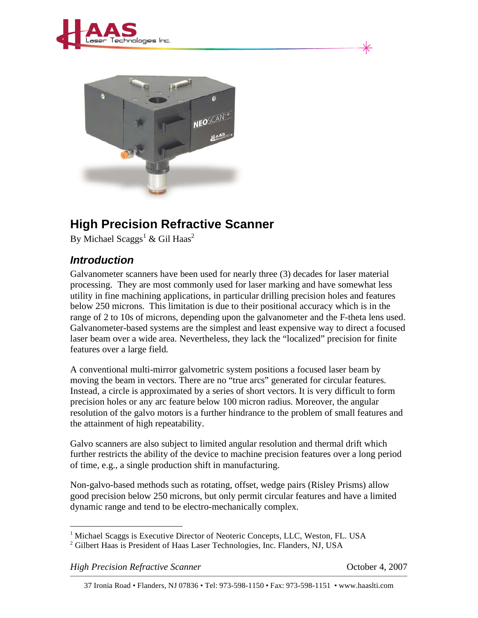



## **High Precision Refractive Scanner**

By Michael Scaggs<sup>1</sup> & Gil Haas<sup>2</sup>

## *Introduction*

Galvanometer scanners have been used for nearly three (3) decades for laser material processing. They are most commonly used for laser marking and have somewhat less utility in fine machining applications, in particular drilling precision holes and features below 250 microns. This limitation is due to their positional accuracy which is in the range of 2 to 10s of microns, depending upon the galvanometer and the F-theta lens used. Galvanometer-based systems are the simplest and least expensive way to direct a focused laser beam over a wide area. Nevertheless, they lack the "localized" precision for finite features over a large field.

A conventional multi-mirror galvometric system positions a focused laser beam by moving the beam in vectors. There are no "true arcs" generated for circular features. Instead, a circle is approximated by a series of short vectors. It is very difficult to form precision holes or any arc feature below 100 micron radius. Moreover, the angular resolution of the galvo motors is a further hindrance to the problem of small features and the attainment of high repeatability.

Galvo scanners are also subject to limited angular resolution and thermal drift which further restricts the ability of the device to machine precision features over a long period of time, e.g., a single production shift in manufacturing.

Non-galvo-based methods such as rotating, offset, wedge pairs (Risley Prisms) allow good precision below 250 microns, but only permit circular features and have a limited dynamic range and tend to be electro-mechanically complex.

*High Precision Refractive Scanner Algoed Scanner College 2007 October 4, 2007* 

 $\overline{a}$ 

<sup>&</sup>lt;sup>1</sup> Michael Scaggs is Executive Director of Neoteric Concepts, LLC, Weston, FL. USA

<sup>&</sup>lt;sup>2</sup> Gilbert Haas is President of Haas Laser Technologies, Inc. Flanders, NJ, USA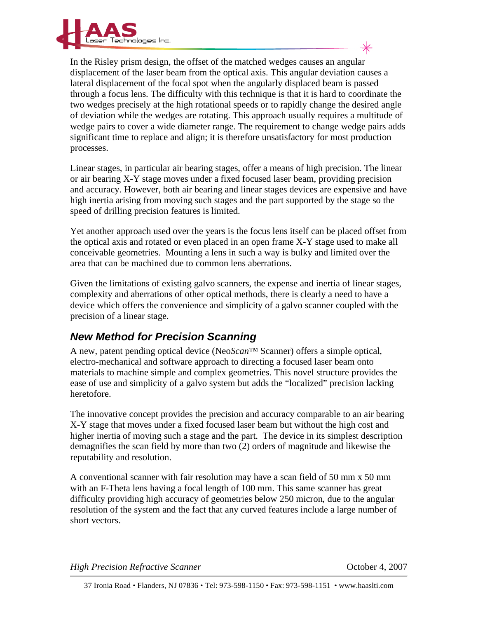

In the Risley prism design, the offset of the matched wedges causes an angular displacement of the laser beam from the optical axis. This angular deviation causes a lateral displacement of the focal spot when the angularly displaced beam is passed through a focus lens. The difficulty with this technique is that it is hard to coordinate the two wedges precisely at the high rotational speeds or to rapidly change the desired angle of deviation while the wedges are rotating. This approach usually requires a multitude of wedge pairs to cover a wide diameter range. The requirement to change wedge pairs adds significant time to replace and align; it is therefore unsatisfactory for most production processes.

Linear stages, in particular air bearing stages, offer a means of high precision. The linear or air bearing X-Y stage moves under a fixed focused laser beam, providing precision and accuracy. However, both air bearing and linear stages devices are expensive and have high inertia arising from moving such stages and the part supported by the stage so the speed of drilling precision features is limited.

Yet another approach used over the years is the focus lens itself can be placed offset from the optical axis and rotated or even placed in an open frame X-Y stage used to make all conceivable geometries. Mounting a lens in such a way is bulky and limited over the area that can be machined due to common lens aberrations.

Given the limitations of existing galvo scanners, the expense and inertia of linear stages, complexity and aberrations of other optical methods, there is clearly a need to have a device which offers the convenience and simplicity of a galvo scanner coupled with the precision of a linear stage.

## *New Method for Precision Scanning*

A new, patent pending optical device (Neo*Scan™* Scanner) offers a simple optical, electro-mechanical and software approach to directing a focused laser beam onto materials to machine simple and complex geometries. This novel structure provides the ease of use and simplicity of a galvo system but adds the "localized" precision lacking heretofore.

The innovative concept provides the precision and accuracy comparable to an air bearing X-Y stage that moves under a fixed focused laser beam but without the high cost and higher inertia of moving such a stage and the part. The device in its simplest description demagnifies the scan field by more than two (2) orders of magnitude and likewise the reputability and resolution.

A conventional scanner with fair resolution may have a scan field of 50 mm x 50 mm with an F-Theta lens having a focal length of 100 mm. This same scanner has great difficulty providing high accuracy of geometries below 250 micron, due to the angular resolution of the system and the fact that any curved features include a large number of short vectors.

*High Precision Refractive Scanner Algorithment Company Company Company Company Company Company Company Company Company Company Company Company Company Company*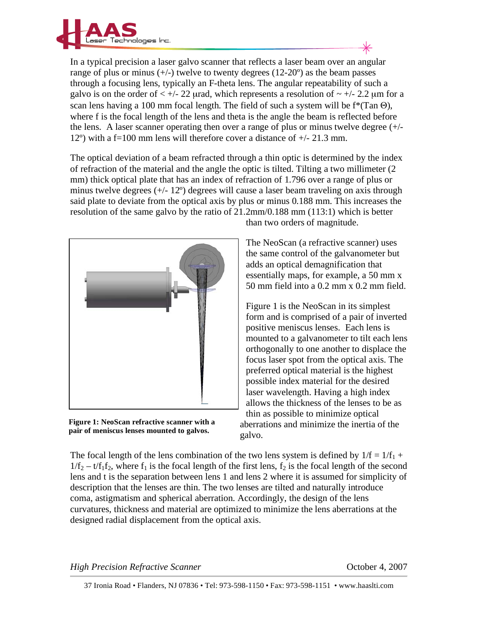

In a typical precision a laser galvo scanner that reflects a laser beam over an angular range of plus or minus  $(+/-)$  twelve to twenty degrees  $(12{\text -}20^{\circ})$  as the beam passes through a focusing lens, typically an F-theta lens. The angular repeatability of such a galvo is on the order of  $\lt +/22$  urad, which represents a resolution of  $\sim +/2.2$  um for a scan lens having a 100 mm focal length. The field of such a system will be  $f^*(Tan \Theta)$ , where f is the focal length of the lens and theta is the angle the beam is reflected before the lens. A laser scanner operating then over a range of plus or minus twelve degree (+/- 12º) with a f=100 mm lens will therefore cover a distance of +/- 21.3 mm.

The optical deviation of a beam refracted through a thin optic is determined by the index of refraction of the material and the angle the optic is tilted. Tilting a two millimeter (2 mm) thick optical plate that has an index of refraction of 1.796 over a range of plus or minus twelve degrees  $(+/- 12^{\circ})$  degrees will cause a laser beam traveling on axis through said plate to deviate from the optical axis by plus or minus 0.188 mm. This increases the resolution of the same galvo by the ratio of 21.2mm/0.188 mm (113:1) which is better



**Figure 1: NeoScan refractive scanner with a pair of meniscus lenses mounted to galvos.** 

than two orders of magnitude.

The NeoScan (a refractive scanner) uses the same control of the galvanometer but adds an optical demagnification that essentially maps, for example, a 50 mm x 50 mm field into a 0.2 mm x 0.2 mm field.

Figure 1 is the NeoScan in its simplest form and is comprised of a pair of inverted positive meniscus lenses. Each lens is mounted to a galvanometer to tilt each lens orthogonally to one another to displace the focus laser spot from the optical axis. The preferred optical material is the highest possible index material for the desired laser wavelength. Having a high index allows the thickness of the lenses to be as thin as possible to minimize optical aberrations and minimize the inertia of the galvo.

The focal length of the lens combination of the two lens system is defined by  $1/f = 1/f_1 +$  $1/f_2 - t/f_1f_2$ , where  $f_1$  is the focal length of the first lens,  $f_2$  is the focal length of the second lens and t is the separation between lens 1 and lens 2 where it is assumed for simplicity of description that the lenses are thin. The two lenses are tilted and naturally introduce coma, astigmatism and spherical aberration. Accordingly, the design of the lens curvatures, thickness and material are optimized to minimize the lens aberrations at the designed radial displacement from the optical axis.

*High Precision Refractive Scanner Algorithment Company Company Company Company Company Company Company Company Company Company Company Company Company Company*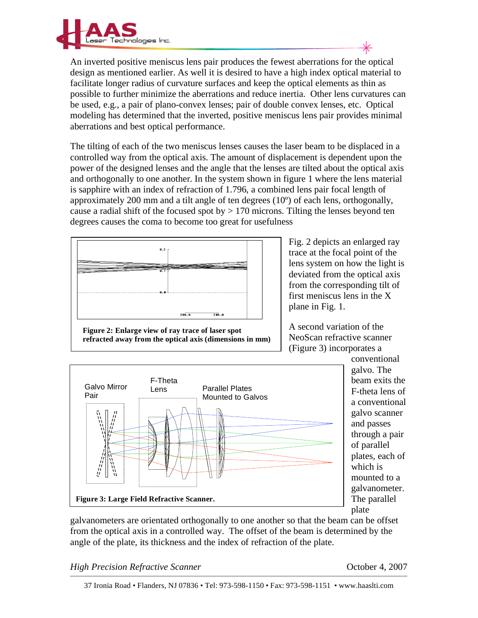

An inverted positive meniscus lens pair produces the fewest aberrations for the optical design as mentioned earlier. As well it is desired to have a high index optical material to facilitate longer radius of curvature surfaces and keep the optical elements as thin as possible to further minimize the aberrations and reduce inertia. Other lens curvatures can be used, e.g., a pair of plano-convex lenses; pair of double convex lenses, etc. Optical modeling has determined that the inverted, positive meniscus lens pair provides minimal aberrations and best optical performance.

The tilting of each of the two meniscus lenses causes the laser beam to be displaced in a controlled way from the optical axis. The amount of displacement is dependent upon the power of the designed lenses and the angle that the lenses are tilted about the optical axis and orthogonally to one another. In the system shown in figure 1 where the lens material is sapphire with an index of refraction of 1.796, a combined lens pair focal length of approximately 200 mm and a tilt angle of ten degrees (10º) of each lens, orthogonally, cause a radial shift of the focused spot by  $> 170$  microns. Tilting the lenses beyond ten degrees causes the coma to become too great for usefulness



**Figure 2: Enlarge view of ray trace of laser spot refracted away from the optical axis (dimensions in mm)**  Fig. 2 depicts an enlarged ray trace at the focal point of the lens system on how the light is deviated from the optical axis from the corresponding tilt of first meniscus lens in the X plane in Fig. 1.

A second variation of the NeoScan refractive scanner (Figure 3) incorporates a



conventional galvo. The beam exits the F-theta lens of a conventional galvo scanner and passes through a pair of parallel plates, each of which is mounted to a galvanometer. The parallel plate

galvanometers are orientated orthogonally to one another so that the beam can be offset from the optical axis in a controlled way. The offset of the beam is determined by the angle of the plate, its thickness and the index of refraction of the plate.

*High Precision Refractive Scanner Algorithmen Scanner Connection Algorithmen Connection Algorithmen Department Algorithmen Algorithmen Department Algorithmen Algorithmen Algorithmen Algorithmen Algorithmen Algorith*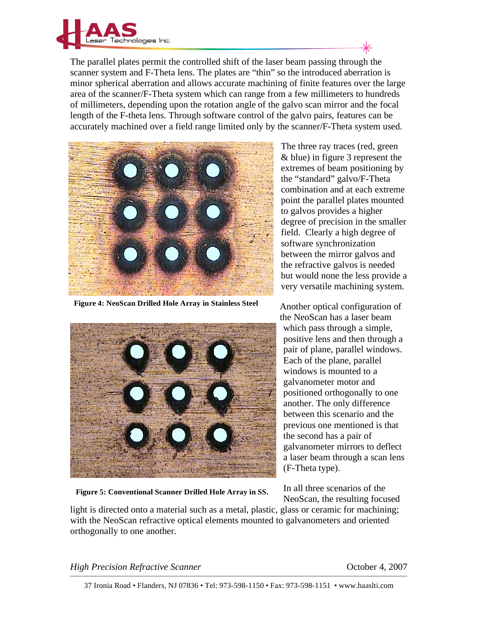

The parallel plates permit the controlled shift of the laser beam passing through the scanner system and F-Theta lens. The plates are "thin" so the introduced aberration is minor spherical aberration and allows accurate machining of finite features over the large area of the scanner/F-Theta system which can range from a few millimeters to hundreds of millimeters, depending upon the rotation angle of the galvo scan mirror and the focal length of the F-theta lens. Through software control of the galvo pairs, features can be accurately machined over a field range limited only by the scanner/F-Theta system used.



**Figure 4: NeoScan Drilled Hole Array in Stainless Steel** 



The three ray traces (red, green & blue) in figure 3 represent the extremes of beam positioning by the "standard" galvo/F-Theta combination and at each extreme point the parallel plates mounted to galvos provides a higher degree of precision in the smaller field. Clearly a high degree of software synchronization between the mirror galvos and the refractive galvos is needed but would none the less provide a very versatile machining system.

Another optical configuration of the NeoScan has a laser beam which pass through a simple, positive lens and then through a pair of plane, parallel windows. Each of the plane, parallel windows is mounted to a galvanometer motor and positioned orthogonally to one another. The only difference between this scenario and the previous one mentioned is that the second has a pair of galvanometer mirrors to deflect a laser beam through a scan lens (F-Theta type).

**Figure 5: Conventional Scanner Drilled Hole Array in SS.** 

In all three scenarios of the NeoScan, the resulting focused

light is directed onto a material such as a metal, plastic, glass or ceramic for machining; with the NeoScan refractive optical elements mounted to galvanometers and oriented orthogonally to one another.

*High Precision Refractive Scanner Allegeria Connection 4, 2007 October 4, 2007*